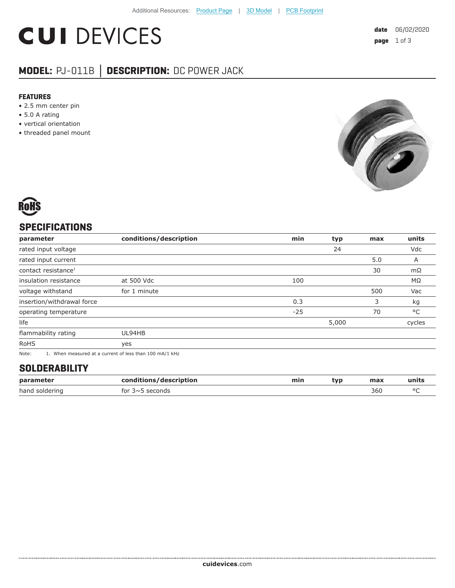# **CUI DEVICES**

## **MODEL:** PJ-011B **│ DESCRIPTION:** DC POWER JACK

#### **FEATURES**

- 2.5 mm center pin
- 5.0 A rating
- vertical orientation
- threaded panel mount





### **SPECIFICATIONS**

| parameter                       | conditions/description                                  | min   | typ   | max | units  |
|---------------------------------|---------------------------------------------------------|-------|-------|-----|--------|
| rated input voltage             |                                                         |       | 24    |     | Vdc    |
| rated input current             |                                                         |       |       | 5.0 | A      |
| contact resistance <sup>1</sup> |                                                         |       |       | 30  | mΩ     |
| insulation resistance           | at 500 Vdc                                              | 100   |       |     | MΩ     |
| voltage withstand               | for 1 minute                                            |       |       | 500 | Vac    |
| insertion/withdrawal force      |                                                         | 0.3   |       | 3   | kg     |
| operating temperature           |                                                         | $-25$ |       | 70  | °C     |
| life                            |                                                         |       | 5,000 |     | cycles |
| flammability rating             | UL94HB                                                  |       |       |     |        |
| <b>RoHS</b>                     | yes                                                     |       |       |     |        |
| Note:                           | 1. When measured at a current of less than 100 mA/1 kHz |       |       |     |        |

#### **SOLDERABILITY**

| parameter      | conditions/description | min | tvp | max | นทเเร |
|----------------|------------------------|-----|-----|-----|-------|
| hand soldering | tor<br>≺∼∽<br>seconds  |     |     | 360 | n r   |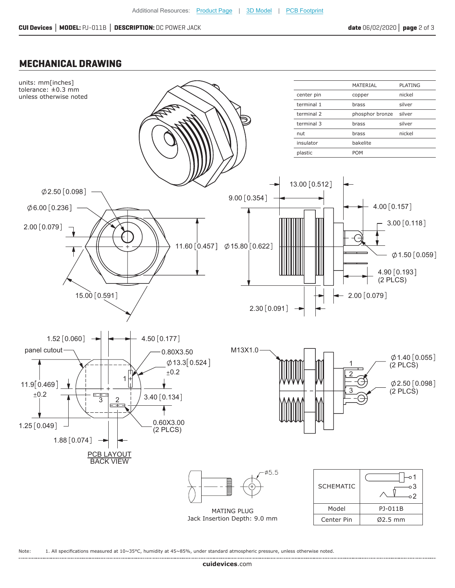#### **MECHANICAL DRAWING**



Note: 1. All specifications measured at 10~35°C, humidity at 45~85%, under standard atmospheric pressure, unless otherwise noted.